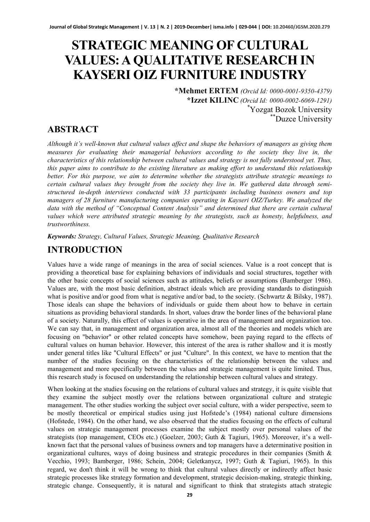# **STRATEGIC MEANING OF CULTURAL VALUES: A QUALITATIVE RESEARCH IN KAYSERI OIZ FURNITURE INDUSTRY**

**\*Mehmet ERTEM** *(Orcid Id: 0000-0001-9350-4379)* **\*Izzet KILINC** *(Orcid Id: 0000-0002-6069-1291)* \* Yozgat Bozok University \*\*Duzce University

# **ABSTRACT**

*Although it's well-known that cultural values affect and shape the behaviors of managers as giving them measures for evaluating their managerial behaviors according to the society they live in, the characteristics of this relationship between cultural values and strategy is not fully understood yet. Thus, this paper aims to contribute to the existing literature as making effort to understand this relationship better. For this purpose, we aim to determine whether the strategists attribute strategic meanings to certain cultural values they brought from the society they live in. We gathered data through semistructured in-depth interviews conducted with 33 participants including business owners and top managers of 28 furniture manufacturing companies operating in Kayseri OIZ/Turkey. We analyzed the data with the method of "Conceptual Content Analysis" and determined that there are certain cultural values which were attributed strategic meaning by the strategists, such as honesty, helpfulness, and trustworthiness.* 

*Keywords: Strategy, Cultural Values, Strategic Meaning, Qualitative Research*

# **INTRODUCTION**

Values have a wide range of meanings in the area of social sciences. Value is a root concept that is providing a theoretical base for explaining behaviors of individuals and social structures, together with the other basic concepts of social sciences such as attitudes, beliefs or assumptions (Bamberger 1986). Values are, with the most basic definition, abstract ideals which are providing standards to distinguish what is positive and/or good from what is negative and/or bad, to the society. (Schwartz & Bilsky, 1987). Those ideals can shape the behaviors of individuals or guide them about how to behave in certain situations as providing behavioral standards. In short, values draw the border lines of the behavioral plane of a society. Naturally, this effect of values is operative in the area of management and organization too. We can say that, in management and organization area, almost all of the theories and models which are focusing on "behavior" or other related concepts have somehow, been paying regard to the effects of cultural values on human behavior. However, this interest of the area is rather shallow and it is mostly under general titles like "Cultural Effects" or just "Culture". In this context, we have to mention that the number of the studies focusing on the characteristics of the relationship between the values and management and more specifically between the values and strategic management is quite limited. Thus, this research study is focused on understanding the relationship between cultural values and strategy.

When looking at the studies focusing on the relations of cultural values and strategy, it is quite visible that they examine the subject mostly over the relations between organizational culture and strategic management. The other studies working the subject over social culture, with a wider perspective, seem to be mostly theoretical or empirical studies using just Hofstede's (1984) national culture dimensions (Hofstede, 1984). On the other hand, we also observed that the studies focusing on the effects of cultural values on strategic management processes examine the subject mostly over personal values of the strategists (top management, CEOs etc.) (Goelzer, 2003; Guth & Tagiuri, 1965). Moreover, it's a wellknown fact that the personal values of business owners and top managers have a determinative position in organizational cultures, ways of doing business and strategic procedures in their companies (Smith & Vecchio, 1993; Bamberger, 1986; Schein, 2004; Geletkanycz, 1997; Guth & Tagiuri, 1965). In this regard, we don't think it will be wrong to think that cultural values directly or indirectly affect basic strategic processes like strategy formation and development, strategic decision-making, strategic thinking, strategic change. Consequently, it is natural and significant to think that strategists attach strategic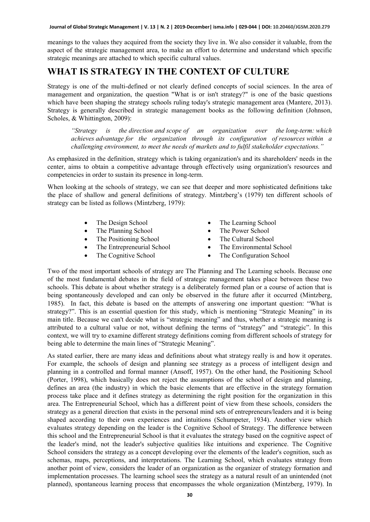meanings to the values they acquired from the society they live in. We also consider it valuable, from the aspect of the strategic management area, to make an effort to determine and understand which specific strategic meanings are attached to which specific cultural values.

#### **WHAT IS STRATEGY IN THE CONTEXT OF CULTURE**

Strategy is one of the multi-defined or not clearly defined concepts of social sciences. In the area of management and organization, the question "What is or isn't strategy?" is one of the basic questions which have been shaping the strategy schools ruling today's strategic management area (Mantere, 2013). Strategy is generally described in strategic management books as the following definition (Johnson, Scholes, & Whittington, 2009):

*"Strategy is the direction and scope of an organization over the long-term: which achieves advantage for the organization through its configuration of resources within a challenging environment, to meet the needs of markets and to fulfil stakeholder expectations."*

As emphasized in the definition, strategy which is taking organization's and its shareholders' needs in the center, aims to obtain a competitive advantage through effectively using organization's resources and competencies in order to sustain its presence in long-term.

When looking at the schools of strategy, we can see that deeper and more sophisticated definitions take the place of shallow and general definitions of strategy. Mintzberg's (1979) ten different schools of strategy can be listed as follows (Mintzberg, 1979):

- The Design School
- The Planning School
- The Positioning School
- The Entrepreneurial School
- The Cognitive School
- The Learning School
- The Power School
- The Cultural School
- The Environmental School
- The Configuration School

Two of the most important schools of strategy are The Planning and The Learning schools. Because one of the most fundamental debates in the field of strategic management takes place between these two schools. This debate is about whether strategy is a deliberately formed plan or a course of action that is being spontaneously developed and can only be observed in the future after it occurred (Mintzberg, 1985). In fact, this debate is based on the attempts of answering one important question: "What is strategy?". This is an essential question for this study, which is mentioning "Strategic Meaning" in its main title. Because we can't decide what is "strategic meaning" and thus, whether a strategic meaning is attributed to a cultural value or not, without defining the terms of "strategy" and "strategic". In this context, we will try to examine different strategy definitions coming from different schools of strategy for being able to determine the main lines of "Strategic Meaning".

As stated earlier, there are many ideas and definitions about what strategy really is and how it operates. For example, the schools of design and planning see strategy as a process of intelligent design and planning in a controlled and formal manner (Ansoff, 1957). On the other hand, the Positioning School (Porter, 1998), which basically does not reject the assumptions of the school of design and planning, defines an area (the industry) in which the basic elements that are effective in the strategy formation process take place and it defines strategy as determining the right position for the organization in this area. The Entrepreneurial School, which has a different point of view from these schools, considers the strategy as a general direction that exists in the personal mind sets of entrepreneurs/leaders and it is being shaped according to their own experiences and intuitions (Schumpeter, 1934). Another view which evaluates strategy depending on the leader is the Cognitive School of Strategy. The difference between this school and the Entrepreneurial School is that it evaluates the strategy based on the cognitive aspect of the leader's mind, not the leader's subjective qualities like intuitions and experience. The Cognitive School considers the strategy as a concept developing over the elements of the leader's cognition, such as schemas, maps, perceptions, and interpretations. The Learning School, which evaluates strategy from another point of view, considers the leader of an organization as the organizer of strategy formation and implementation processes. The learning school sees the strategy as a natural result of an unintended (not planned), spontaneous learning process that encompasses the whole organization (Mintzberg, 1979). In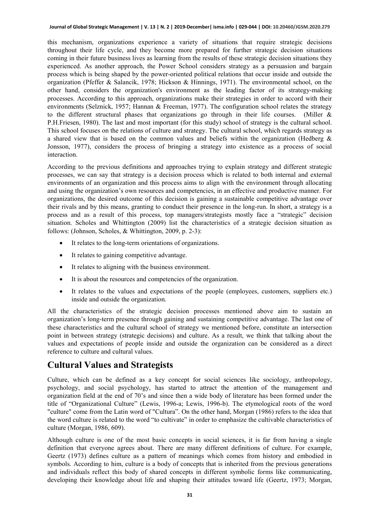#### **Journal of Global Strategic Management | V. 13 | N. 2 | 2019-December| isma.info | 029-044 | DOI: 10.20460/JGSM.2020.279**

this mechanism, organizations experience a variety of situations that require strategic decisions throughout their life cycle, and they become more prepared for further strategic decision situations coming in their future business lives as learning from the results of these strategic decision situations they experienced. As another approach, the Power School considers strategy as a persuasion and bargain process which is being shaped by the power-oriented political relations that occur inside and outside the organization (Pfeffer & Salancik, 1978; Hickson & Hinnings, 1971). The environmental school, on the other hand, considers the organization's environment as the leading factor of its strategy-making processes. According to this approach, organizations make their strategies in order to accord with their environments (Selznick, 1957; Hannan & Freeman, 1977). The configuration school relates the strategy to the different structural phases that organizations go through in their life courses. (Miller & P.H.Friesen, 1980). The last and most important (for this study) school of strategy is the cultural school. This school focuses on the relations of culture and strategy. The cultural school, which regards strategy as a shared view that is based on the common values and beliefs within the organization (Hedberg & Jonsson, 1977), considers the process of bringing a strategy into existence as a process of social interaction.

According to the previous definitions and approaches trying to explain strategy and different strategic processes, we can say that strategy is a decision process which is related to both internal and external environments of an organization and this process aims to align with the environment through allocating and using the organization's own resources and competencies, in an effective and productive manner. For organizations, the desired outcome of this decision is gaining a sustainable competitive advantage over their rivals and by this means, granting to conduct their presence in the long-run. In short, a strategy is a process and as a result of this process, top managers/strategists mostly face a "strategic" decision situation. Scholes and Whittington (2009) list the characteristics of a strategic decision situation as follows: (Johnson, Scholes, & Whittington, 2009, p. 2-3):

- It relates to the long-term orientations of organizations.
- It relates to gaining competitive advantage.
- It relates to aligning with the business environment.
- It is about the resources and competencies of the organization.
- It relates to the values and expectations of the people (employees, customers, suppliers etc.) inside and outside the organization.

All the characteristics of the strategic decision processes mentioned above aim to sustain an organization's long-term presence through gaining and sustaining competitive advantage. The last one of these characteristics and the cultural school of strategy we mentioned before, constitute an intersection point in between strategy (strategic decisions) and culture. As a result, we think that talking about the values and expectations of people inside and outside the organization can be considered as a direct reference to culture and cultural values.

#### **Cultural Values and Strategists**

Culture, which can be defined as a key concept for social sciences like sociology, anthropology, psychology, and social psychology, has started to attract the attention of the management and organization field at the end of 70's and since then a wide body of literature has been formed under the title of "Organizational Culture" (Lewis, 1996-a; Lewis, 1996-b). The etymological roots of the word "culture" come from the Latin word of "Cultura". On the other hand, Morgan (1986) refers to the idea that the word culture is related to the word "to cultivate" in order to emphasize the cultivable characteristics of culture (Morgan, 1986, 609).

Although culture is one of the most basic concepts in social sciences, it is far from having a single definition that everyone agrees about. There are many different definitions of culture. For example, Geertz (1973) defines culture as a pattern of meanings which comes from history and embodied in symbols. According to him, culture is a body of concepts that is inherited from the previous generations and individuals reflect this body of shared concepts in different symbolic forms like communicating, developing their knowledge about life and shaping their attitudes toward life (Geertz, 1973; Morgan,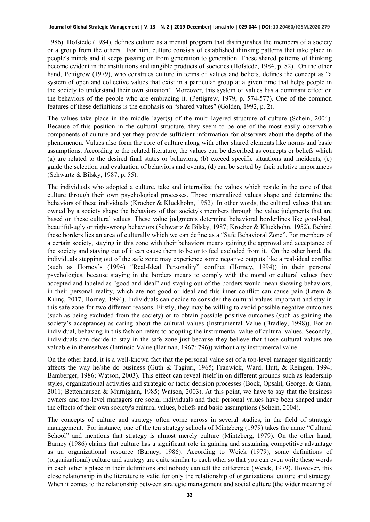1986). Hofstede (1984), defines culture as a mental program that distinguishes the members of a society or a group from the others. For him, culture consists of established thinking patterns that take place in people's minds and it keeps passing on from generation to generation. These shared patterns of thinking become evident in the institutions and tangible products of societies (Hofstede, 1984, p. 82). On the other hand, Pettigrew (1979), who construes culture in terms of values and beliefs, defines the concept as "a system of open and collective values that exist in a particular group at a given time that helps people in the society to understand their own situation". Moreover, this system of values has a dominant effect on the behaviors of the people who are embracing it. (Pettigrew, 1979, p. 574-577). One of the common features of these definitions is the emphasis on "shared values" (Golden, 1992, p. 2).

The values take place in the middle layer(s) of the multi-layered structure of culture (Schein, 2004). Because of this position in the cultural structure, they seem to be one of the most easily observable components of culture and yet they provide sufficient information for observers about the depths of the phenomenon. Values also form the core of culture along with other shared elements like norms and basic assumptions. According to the related literature, the values can be described as concepts or beliefs which (a) are related to the desired final states or behaviors, (b) exceed specific situations and incidents, (c) guide the selection and evaluation of behaviors and events, (d) can be sorted by their relative importances (Schwartz & Bilsky, 1987, p. 55).

The individuals who adopted a culture, take and internalize the values which reside in the core of that culture through their own psychological processes. Those internalized values shape and determine the behaviors of these individuals (Kroeber & Kluckhohn, 1952). In other words, the cultural values that are owned by a society shape the behaviors of that society's members through the value judgments that are based on these cultural values. These value judgments determine behavioral borderlines like good-bad, beautiful-ugly or right-wrong behaviors (Schwartz & Bilsky, 1987; Kroeber & Kluckhohn, 1952). Behind these borders lies an area of culturally which we can define as a "Safe Behavioral Zone". For members of a certain society, staying in this zone with their behaviors means gaining the approval and acceptance of the society and staying out of it can cause them to be or to feel excluded from it. On the other hand, the individuals stepping out of the safe zone may experience some negative outputs like a real-ideal conflict (such as Horney's (1994) "Real-Ideal Personality" conflict (Horney, 1994)) in their personal psychologies, because staying in the borders means to comply with the moral or cultural values they accepted and labeled as "good and ideal" and staying out of the borders would mean showing behaviors, in their personal reality, which are not good or ideal and this inner conflict can cause pain (Ertem & Kılınç, 2017; Horney, 1994). Individuals can decide to consider the cultural values important and stay in this safe zone for two different reasons. Firstly, they may be willing to avoid possible negative outcomes (such as being excluded from the society) or to obtain possible positive outcomes (such as gaining the society's acceptance) as caring about the cultural values (Instrumental Value (Bradley, 1998)). For an individual, behaving in this fashion refers to adopting the instrumental value of cultural values. Secondly, individuals can decide to stay in the safe zone just because they believe that those cultural values are valuable in themselves (Intrinsic Value (Harman, 1967: 796)) without any instrumental value.

On the other hand, it is a well-known fact that the personal value set of a top-level manager significantly affects the way he/she do business (Guth & Tagiuri, 1965; Franwick, Ward, Hutt, & Reingen, 1994; Bamberger, 1986; Watson, 2003). This effect can reveal itself in on different grounds such as leadership styles, organizational activities and strategic or tactic decision processes (Bock, Opsahl, George, & Gann, 2011; Bettenhausen & Murnighan, 1985; Watson, 2003). At this point, we have to say that the business owners and top-level managers are social individuals and their personal values have been shaped under the effects of their own society's cultural values, beliefs and basic assumptions (Schein, 2004).

The concepts of culture and strategy often come across in several studies, in the field of strategic management. For instance, one of the ten strategy schools of Mintzberg (1979) takes the name "Cultural School" and mentions that strategy is almost merely culture (Mintzberg, 1979). On the other hand, Barney (1986) claims that culture has a significant role in gaining and sustaining competitive advantage as an organizational resource (Barney, 1986). According to Weick (1979), some definitions of (organizational) culture and strategy are quite similar to each other so that you can even write these words in each other's place in their definitions and nobody can tell the difference (Weick, 1979). However, this close relationship in the literature is valid for only the relationship of organizational culture and strategy. When it comes to the relationship between strategic management and social culture (the wider meaning of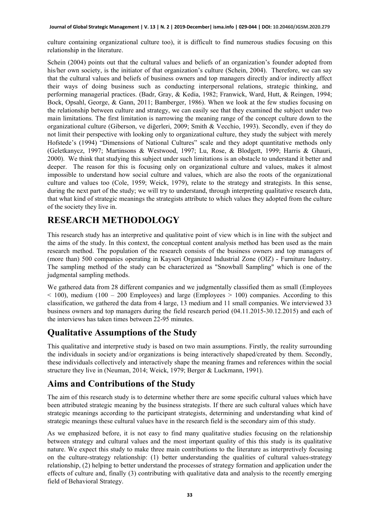culture containing organizational culture too), it is difficult to find numerous studies focusing on this relationship in the literature.

Schein (2004) points out that the cultural values and beliefs of an organization's founder adopted from his/her own society, is the initiator of that organization's culture (Schein, 2004). Therefore, we can say that the cultural values and beliefs of business owners and top managers directly and/or indirectly affect their ways of doing business such as conducting interpersonal relations, strategic thinking, and performing managerial practices. (Badr, Gray, & Kedia, 1982; Franwick, Ward, Hutt, & Reingen, 1994; Bock, Opsahl, George, & Gann, 2011; Bamberger, 1986). When we look at the few studies focusing on the relationship between culture and strategy, we can easily see that they examined the subject under two main limitations. The first limitation is narrowing the meaning range of the concept culture down to the organizational culture (Giberson, ve diğerleri, 2009; Smith & Vecchio, 1993). Secondly, even if they do not limit their perspective with looking only to organizational culture, they study the subject with merely Hofstede's (1994) "Dimensions of National Cultures" scale and they adopt quantitative methods only (Geletkanycz, 1997; Martinsons & Westwood, 1997; Lu, Rose, & Blodgett, 1999; Harris & Ghauri, 2000). We think that studying this subject under such limitations is an obstacle to understand it better and deeper. The reason for this is focusing only on organizational culture and values, makes it almost impossible to understand how social culture and values, which are also the roots of the organizational culture and values too (Cole, 1959; Weick, 1979), relate to the strategy and strategists. In this sense, during the next part of the study; we will try to understand, through interpreting qualitative research data, that what kind of strategic meanings the strategists attribute to which values they adopted from the culture of the society they live in.

# **RESEARCH METHODOLOGY**

This research study has an interpretive and qualitative point of view which is in line with the subject and the aims of the study. In this context, the conceptual content analysis method has been used as the main research method. The population of the research consists of the business owners and top managers of (more than) 500 companies operating in Kayseri Organized Industrial Zone (OIZ) - Furniture Industry. The sampling method of the study can be characterized as "Snowball Sampling" which is one of the judgmental sampling methods.

We gathered data from 28 different companies and we judgmentally classified them as small (Employees  $\leq$  100), medium (100 – 200 Employees) and large (Employees  $\geq$  100) companies. According to this classification, we gathered the data from 4 large, 13 medium and 11 small companies. We interviewed 33 business owners and top managers during the field research period (04.11.2015-30.12.2015) and each of the interviews has taken times between 22-95 minutes.

#### **Qualitative Assumptions of the Study**

This qualitative and interpretive study is based on two main assumptions. Firstly, the reality surrounding the individuals in society and/or organizations is being interactively shaped/created by them. Secondly, these individuals collectively and interactively shape the meaning frames and references within the social structure they live in (Neuman, 2014; Weick, 1979; Berger & Luckmann, 1991).

# **Aims and Contributions of the Study**

The aim of this research study is to determine whether there are some specific cultural values which have been attributed strategic meaning by the business strategists. If there are such cultural values which have strategic meanings according to the participant strategists, determining and understanding what kind of strategic meanings these cultural values have in the research field is the secondary aim of this study.

As we emphasized before, it is not easy to find many qualitative studies focusing on the relationship between strategy and cultural values and the most important quality of this this study is its qualitative nature. We expect this study to make three main contributions to the literature as interpretively focusing on the culture-strategy relationship: (1) better understanding the qualities of cultural values-strategy relationship, (2) helping to better understand the processes of strategy formation and application under the effects of culture and, finally (3) contributing with qualitative data and analysis to the recently emerging field of Behavioral Strategy.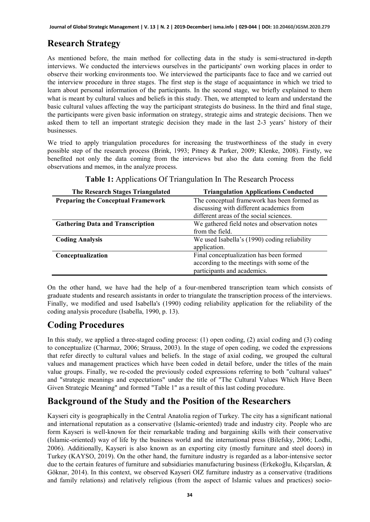# **Research Strategy**

As mentioned before, the main method for collecting data in the study is semi-structured in-depth interviews. We conducted the interviews ourselves in the participants' own working places in order to observe their working environments too. We interviewed the participants face to face and we carried out the interview procedure in three stages. The first step is the stage of acquaintance in which we tried to learn about personal information of the participants. In the second stage, we briefly explained to them what is meant by cultural values and beliefs in this study. Then, we attempted to learn and understand the basic cultural values affecting the way the participant strategists do business. In the third and final stage, the participants were given basic information on strategy, strategic aims and strategic decisions. Then we asked them to tell an important strategic decision they made in the last 2-3 years' history of their businesses.

We tried to apply triangulation procedures for increasing the trustworthiness of the study in every possible step of the research process (Brink, 1993; Pitney & Parker, 2009; Klenke, 2008). Firstly, we benefited not only the data coming from the interviews but also the data coming from the field observations and memos, in the analyze process.

| The Research Stages Triangulated          | <b>Triangulation Applications Conducted</b>   |  |  |
|-------------------------------------------|-----------------------------------------------|--|--|
| <b>Preparing the Conceptual Framework</b> | The conceptual framework has been formed as   |  |  |
|                                           | discussing with different academics from      |  |  |
|                                           | different areas of the social sciences.       |  |  |
| <b>Gathering Data and Transcription</b>   | We gathered field notes and observation notes |  |  |
|                                           | from the field.                               |  |  |
| <b>Coding Analysis</b>                    | We used Isabella's (1990) coding reliability  |  |  |
|                                           | application.                                  |  |  |
| Conceptualization                         | Final conceptualization has been formed       |  |  |
|                                           | according to the meetings with some of the    |  |  |
|                                           | participants and academics.                   |  |  |

|  |  | Table 1: Applications Of Triangulation In The Research Process |
|--|--|----------------------------------------------------------------|
|--|--|----------------------------------------------------------------|

On the other hand, we have had the help of a four-membered transcription team which consists of graduate students and research assistants in order to triangulate the transcription process of the interviews. Finally, we modified and used Isabella's (1990) coding reliability application for the reliability of the coding analysis procedure (Isabella, 1990, p. 13).

# **Coding Procedures**

In this study, we applied a three-staged coding process: (1) open coding, (2) axial coding and (3) coding to conceptualize (Charmaz, 2006; Strauss, 2003). In the stage of open coding, we coded the expressions that refer directly to cultural values and beliefs. In the stage of axial coding, we grouped the cultural values and management practices which have been coded in detail before, under the titles of the main value groups. Finally, we re-coded the previously coded expressions referring to both "cultural values" and "strategic meanings and expectations" under the title of "The Cultural Values Which Have Been Given Strategic Meaning" and formed "Table 1" as a result of this last coding procedure.

# **Background of the Study and the Position of the Researchers**

Kayseri city is geographically in the Central Anatolia region of Turkey. The city has a significant national and international reputation as a conservative (Islamic-oriented) trade and industry city. People who are form Kayseri is well-known for their remarkable trading and bargaining skills with their conservative (Islamic-oriented) way of life by the business world and the international press (Bilefsky, 2006; Lodhi, 2006). Additionally, Kayseri is also known as an exporting city (mostly furniture and steel doors) in Turkey (KAYSO, 2019). On the other hand, the furniture industry is regarded as a labor-intensive sector due to the certain features of furniture and subsidiaries manufacturing business (Erkekoğlu, Kılıçarslan, & Göknar, 2014). In this context, we observed Kayseri OIZ furniture industry as a conservative (traditions and family relations) and relatively religious (from the aspect of Islamic values and practices) socio-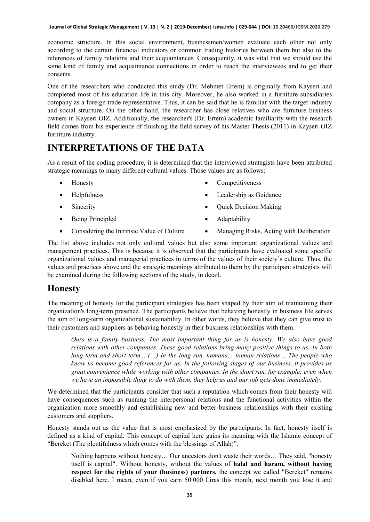economic structure. In this social environment, businessmen/women evaluate each other not only according to the certain financial indicators or common trading histories between them but also to the references of family relations and their acquaintances. Consequently, it was vital that we should use the same kind of family and acquaintance connections in order to reach the interviewees and to get their consents.

One of the researchers who conducted this study (Dr. Mehmet Ertem) is originally from Kayseri and completed most of his education life in this city. Moreover, he also worked in a furniture subsidiaries company as a foreign trade representative. Thus, it can be said that he is familiar with the target industry and social structure. On the other hand, the researcher has close relatives who are furniture business owners in Kayseri OIZ. Additionally, the researcher's (Dr. Ertem) academic familiarity with the research field comes from his experience of finishing the field survey of his Master Thesis (2011) in Kayseri OIZ furniture industry.

# **INTERPRETATIONS OF THE DATA**

As a result of the coding procedure, it is determined that the interviewed strategists have been attributed strategic meanings to many different cultural values. Those values are as follows:

- **Honesty**
- Helpfulness
- Sincerity
- Being Principled
- **Competitiveness**
- Leadership as Guidance
- Quick Decision Making
- Adaptability
- Considering the Intrinsic Value of Culture
- Managing Risks, Acting with Deliberation

The list above includes not only cultural values but also some important organizational values and management practices. This is because it is observed that the participants have evaluated some specific organizational values and managerial practices in terms of the values of their society's culture. Thus, the values and practices above and the strategic meanings attributed to them by the participant strategists will be examined during the following sections of the study, in detail.

#### **Honesty**

The meaning of honesty for the participant strategists has been shaped by their aim of maintaining their organization's long-term presence. The participants believe that behaving honestly in business life serves the aim of long-term organizational sustainability. In other words, they believe that they can give trust to their customers and suppliers as behaving honestly in their business relationships with them.

*Ours is a family business. The most important thing for us is honesty. We also have good relations with other companies. These good relations bring many positive things to us. In both long-term and short-term... (…) In the long run, humans… human relations… The people who know us become good references for us. In the following stages of our business, it provides us great convenience while working with other companies. In the short run, for example; even when we have an impossible thing to do with them, they help us and our job gets done immediately.*

We determined that the participants consider that such a reputation which comes from their honesty will have consequences such as running the interpersonal relations and the functional activities within the organization more smoothly and establishing new and better business relationships with their existing customers and suppliers.

Honesty stands out as the value that is most emphasized by the participants. In fact, honesty itself is defined as a kind of capital. This concept of capital here gains its meaning with the Islamic concept of "Bereket (The plentifulness which comes with the blessings of Allah)".

Nothing happens without honesty… Our ancestors don't waste their words… They said, "honesty itself is capital". Without honesty, without the values of **halal and haram, without having**  respect for the rights of your (business) partners, the concept we called "Bereket" remains disabled here. I mean, even if you earn 50.000 Liras this month, next month you lose it and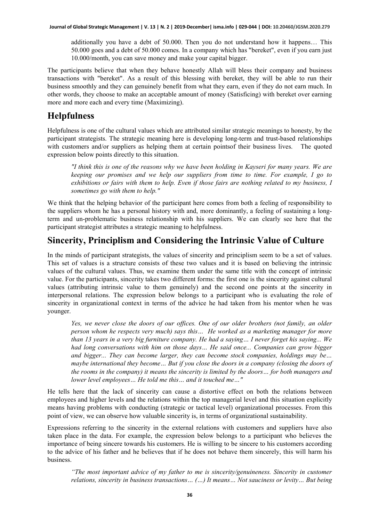additionally you have a debt of 50.000. Then you do not understand how it happens… This 50.000 goes and a debt of 50.000 comes. In a company which has "bereket", even if you earn just 10.000/month, you can save money and make your capital bigger.

The participants believe that when they behave honestly Allah will bless their company and business transactions with "bereket". As a result of this blessing with bereket, they will be able to run their business smoothly and they can genuinely benefit from what they earn, even if they do not earn much. In other words, they choose to make an acceptable amount of money (Satisficing) with bereket over earning more and more each and every time (Maximizing).

#### **Helpfulness**

Helpfulness is one of the cultural values which are attributed similar strategic meanings to honesty, by the participant strategists. The strategic meaning here is developing long-term and trust-based relationships with customers and/or suppliers as helping them at certain pointsof their business lives. The quoted expression below points directly to this situation.

*"I think this is one of the reasons why we have been holding in Kayseri for many years. We are keeping our promises and we help our suppliers from time to time. For example, I go to exhibitions or fairs with them to help. Even if those fairs are nothing related to my business, I sometimes go with them to help."*

We think that the helping behavior of the participant here comes from both a feeling of responsibility to the suppliers whom he has a personal history with and, more dominantly, a feeling of sustaining a longterm and un-problematic business relationship with his suppliers. We can clearly see here that the participant strategist attributes a strategic meaning to helpfulness.

#### **Sincerity, Principlism and Considering the Intrinsic Value of Culture**

In the minds of participant strategists, the values of sincerity and principlism seem to be a set of values. This set of values is a structure consists of these two values and it is based on believing the intrinsic values of the cultural values. Thus, we examine them under the same title with the concept of intrinsic value. For the participants, sincerity takes two different forms: the first one is the sincerity against cultural values (attributing intrinsic value to them genuinely) and the second one points at the sincerity in interpersonal relations. The expression below belongs to a participant who is evaluating the role of sincerity in organizational context in terms of the advice he had taken from his mentor when he was younger.

*Yes, we never close the doors of our offices. One of our older brothers (not family, an older person whom he respects very much) says this… He worked as a marketing manager for more than 13 years in a very big furniture company. He had a saying… I never forget his saying... We had long conversations with him on those days… He said once... Companies can grow bigger and bigger... They can become larger, they can become stock companies, holdings may be… maybe international they become… But if you close the doors in a company (closing the doors of the rooms in the company) it means the sincerity is limited by the doors… for both managers and lower level employees… He told me this… and it touched me…"*

He tells here that the lack of sincerity can cause a distortive effect on both the relations between employees and higher levels and the relations within the top managerial level and this situation explicitly means having problems with conducting (strategic or tactical level) organizational processes. From this point of view, we can observe how valuable sincerity is, in terms of organizational sustainability.

Expressions referring to the sincerity in the external relations with customers and suppliers have also taken place in the data. For example, the expression below belongs to a participant who believes the importance of being sincere towards his customers. He is willing to be sincere to his customers according to the advice of his father and he believes that if he does not behave them sincerely, this will harm his business.

*"The most important advice of my father to me is sincerity/genuineness. Sincerity in customer relations, sincerity in business transactions… (…) It means… Not sauciness or levity… But being*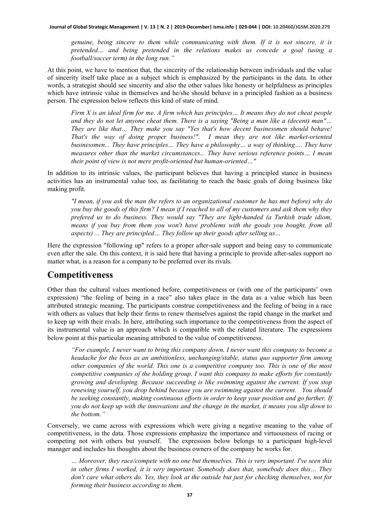*genuine, being sincere to them while communicating with them. If it is not sincere, it is pretended… and being pretended in the relations makes us concede a goal (using a football/soccer term) in the long run."*

At this point, we have to mention that, the sincerity of the relationship between individuals and the value of sincerity itself take place as a subject which is emphasized by the participants in the data. In other words, a strategist should see sincerity and also the other values like honesty or helpfulness as principles which have intrinsic value in themselves and he/she should behave in a principled fashion as a business person. The expression below reflects this kind of state of mind.

*Firm X is an ideal firm for me. A firm which has principles… It means they do not cheat people and they do not let anyone cheat them. There is a saying "Being a man like a (decent) man"… They are like that… They make you say "Yes that's how decent businessmen should behave! That's the way of doing proper business!". I mean they are not like market-oriented businessmen... They have principles… They have a philosophy… a way of thinking…. They have measures other than the market circumstances... They have serious reference points… I mean their point of view is not mere profit-oriented but human-oriented…"*

In addition to its intrinsic values, the participant believes that having a principled stance in business activities has an instrumental value too, as facilitating to reach the basic goals of doing business like making profit.

*"I mean, if you ask the man (he refers to an organizational customer he has met before) why do you buy the goods of this firm? I mean if I reached to all of my customers and ask them why they prefered us to do business. They would say "They are light-handed (a Turkish trade idiom, means if you buy from them you won't have problems with the goods you bought, from all aspects) ... They are principled… They follow up their goods after selling us…*

Here the expression "following up" refers to a proper after-sale support and being easy to communicate even after the sale. On this context, it is said here that having a principle to provide after-sales support no matter what, is a reason for a company to be preferred over its rivals.

#### **Competitiveness**

Other than the cultural values mentioned before, competitiveness or (with one of the participants' own expression) "the feeling of being in a race" also takes place in the data as a value which has been attributed strategic meaning. The participants construe competitiveness and the feeling of being in a race with others as values that help their firms to renew themselves against the rapid change in the market and to keep up with their rivals. In here, attributing such importance to the competitiveness from the aspect of its instrumental value is an approach which is compatible with the related literature. The expressions below point at this particular meaning attributed to the value of competitiveness.

*"For example, I never want to bring this company down. I never want this company to become a headache for the boss as an ambitionless, unchanging/stable, status quo supporter firm among other companies of the world. This one is a competitive company too. This is one of the most competitive companies of the holding group. I want this company to make efforts for constantly growing and developing. Because succeeding is like swimming against the current. If you stop renewing yourself, you drop behind because you are swimming against the current. You should be seeking constantly, making continuous efforts in order to keep your position and go further. If you do not keep up with the innovations and the change in the market, it means you slip down to the bottom."* 

Conversely, we came across with expressions which were giving a negative meaning to the value of competitiveness, in the data. Those expressions emphasize the importance and virtuousness of racing or competing not with others but yourself. The expression below belongs to a participant high-level manager and includes his thoughts about the business owners of the company he works for.

*… Moreover, they race/compete with no one but themselves. This is very important. I've seen this in other firms I worked, it is very important. Somebody does that, somebody does this… They don't care what others do. Yes, they look at the outside but just for checking themselves, not for forming their business according to them.*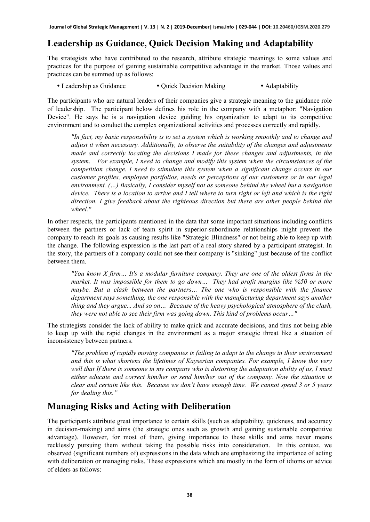# **Leadership as Guidance, Quick Decision Making and Adaptability**

The strategists who have contributed to the research, attribute strategic meanings to some values and practices for the purpose of gaining sustainable competitive advantage in the market. Those values and practices can be summed up as follows:

• Leadership as Guidance • Quick Decision Making • Adaptability

The participants who are natural leaders of their companies give a strategic meaning to the guidance role of leadership. The participant below defines his role in the company with a metaphor: "Navigation Device". He says he is a navigation device guiding his organization to adapt to its competitive environment and to conduct the complex organizational activities and processes correctly and rapidly.

*"In fact, my basic responsibility is to set a system which is working smoothly and to change and adjust it when necessary. Additionally, to observe the suitability of the changes and adjustments made and correctly locating the decisions I made for these changes and adjustments, in the system. For example, I need to change and modify this system when the circumstances of the competition change. I need to stimulate this system when a significant change occurs in our customer profiles, employee portfolios, needs or perceptions of our customers or in our legal environment. (…) Basically, I consider myself not as someone behind the wheel but a navigation device. There is a location to arrive and I tell where to turn right or left and which is the right direction. I give feedback about the righteous direction but there are other people behind the wheel."*

In other respects, the participants mentioned in the data that some important situations including conflicts between the partners or lack of team spirit in superior-subordinate relationships might prevent the company to reach its goals as causing results like "Strategic Blindness" or not being able to keep up with the change. The following expression is the last part of a real story shared by a participant strategist. In the story, the partners of a company could not see their company is "sinking" just because of the conflict between them.

*"You know X firm… It's a modular furniture company. They are one of the oldest firms in the market. It was impossible for them to go down… They had profit margins like %50 or more maybe. But a clash between the partners… The one who is responsible with the finance department says something, the one responsible with the manufacturing department says another thing and they argue... And so on… Because of the heavy psychological atmosphere of the clash, they were not able to see their firm was going down. This kind of problems occur…"* 

The strategists consider the lack of ability to make quick and accurate decisions, and thus not being able to keep up with the rapid changes in the environment as a major strategic threat like a situation of inconsistency between partners.

*"The problem of rapidly moving companies is failing to adapt to the change in their environment and this is what shortens the lifetimes of Kayserian companies. For example, I know this very well that If there is someone in my company who is distorting the adaptation ability of us, I must either educate and correct him/her or send him/her out of the company. Now the situation is clear and certain like this. Because we don't have enough time. We cannot spend 3 or 5 years for dealing this."* 

#### **Managing Risks and Acting with Deliberation**

The participants attribute great importance to certain skills (such as adaptability, quickness, and accuracy in decision-making) and aims (the strategic ones such as growth and gaining sustainable competitive advantage). However, for most of them, giving importance to these skills and aims never means recklessly pursuing them without taking the possible risks into consideration. In this context, we observed (significant numbers of) expressions in the data which are emphasizing the importance of acting with deliberation or managing risks. These expressions which are mostly in the form of idioms or advice of elders as follows: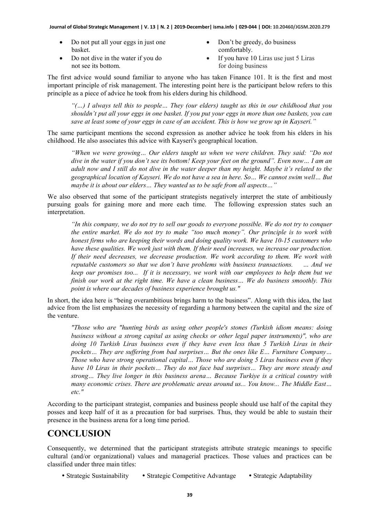- Do not put all your eggs in just one basket.
- Don't be greedy, do business comfortably.
- Do not dive in the water if you do not see its bottom.
- If you have 10 Liras use just 5 Liras for doing business

The first advice would sound familiar to anyone who has taken Finance 101. It is the first and most important principle of risk management. The interesting point here is the participant below refers to this principle as a piece of advice he took from his elders during his childhood.

*"(…) I always tell this to people… They (our elders) taught us this in our childhood that you shouldn't put all your eggs in one basket. If you put your eggs in more than one baskets, you can save at least some of your eggs in case of an accident. This is how we grow up in Kayseri."* 

The same participant mentions the second expression as another advice he took from his elders in his childhood. He also associates this advice with Kayseri's geographical location.

*"When we were growing… Our elders taught us when we were children. They said: "Do not dive in the water if you don't see its bottom! Keep your feet on the ground". Even now… I am an adult now and I still do not dive in the water deeper than my height. Maybe it's related to the geographical location of Kayseri. We do not have a sea in here. So… We cannot swim well… But maybe it is about our elders… They wanted us to be safe from all aspects…"* 

We also observed that some of the participant strategists negatively interpret the state of ambitiously pursuing goals for gaining more and more each time. The following expression states such an interpretation.

*"In this company, we do not try to sell our goods to everyone possible. We do not try to conquer the entire market. We do not try to make "too much money". Our principle is to work with honest firms who are keeping their words and doing quality work. We have 10-15 customers who have these qualities. We work just with them. If their need increases, we increase our production. If their need decreases, we decrease production. We work according to them. We work with reputable customers so that we don't have problems with business transactions. … And we keep our promises too... If it is necessary, we work with our employees to help them but we finish our work at the right time. We have a clean business… We do business smoothly. This point is where our decades of business experience brought us."*

In short, the idea here is "being overambitious brings harm to the business". Along with this idea, the last advice from the list emphasizes the necessity of regarding a harmony between the capital and the size of the venture.

*"Those who are "hunting birds as using other people's stones (Turkish idiom means: doing business without a strong capital as using checks or other legal paper instruments)", who are doing 10 Turkish Liras business even if they have even less than 5 Turkish Liras in their pockets… They are suffering from bad surprises… But the ones like E… Furniture Company… Those who have strong operational capital… Those who are doing 5 Liras business even if they have 10 Liras in their pockets… They do not face bad surprises… They are more steady and strong… They live longer in this business arena… Because Turkiye is a critical country with many economic crises. There are problematic areas around us... You know... The Middle East… etc."* 

According to the participant strategist, companies and business people should use half of the capital they posses and keep half of it as a precaution for bad surprises. Thus, they would be able to sustain their presence in the business arena for a long time period.

#### **CONCLUSION**

Consequently, we determined that the participant strategists attribute strategic meanings to specific cultural (and/or organizational) values and managerial practices. Those values and practices can be classified under three main titles:

• Strategic Sustainability • Strategic Competitive Advantage • Strategic Adaptability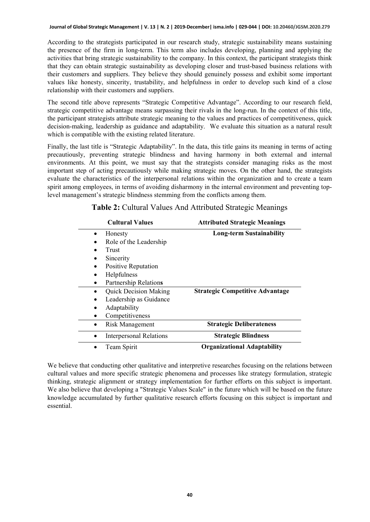According to the strategists participated in our research study, strategic sustainability means sustaining the presence of the firm in long-term. This term also includes developing, planning and applying the activities that bring strategic sustainability to the company. In this context, the participant strategists think that they can obtain strategic sustainability as developing closer and trust-based business relations with their customers and suppliers. They believe they should genuinely possess and exhibit some important values like honesty, sincerity, trustability, and helpfulness in order to develop such kind of a close relationship with their customers and suppliers.

The second title above represents "Strategic Competitive Advantage". According to our research field, strategic competitive advantage means surpassing their rivals in the long-run. In the context of this title, the participant strategists attribute strategic meaning to the values and practices of competitiveness, quick decision-making, leadership as guidance and adaptability. We evaluate this situation as a natural result which is compatible with the existing related literature.

Finally, the last title is "Strategic Adaptability". In the data, this title gains its meaning in terms of acting precautiously, preventing strategic blindness and having harmony in both external and internal environments. At this point, we must say that the strategists consider managing risks as the most important step of acting precautiously while making strategic moves. On the other hand, the strategists evaluate the characteristics of the interpersonal relations within the organization and to create a team spirit among employees, in terms of avoiding disharmony in the internal environment and preventing toplevel management's strategic blindness stemming from the conflicts among them.

| <b>Cultural Values</b>         | <b>Attributed Strategic Meanings</b>   |  |  |
|--------------------------------|----------------------------------------|--|--|
| Honesty                        | <b>Long-term Sustainability</b>        |  |  |
| Role of the Leadership         |                                        |  |  |
| Trust                          |                                        |  |  |
| Sincerity                      |                                        |  |  |
| Positive Reputation            |                                        |  |  |
| Helpfulness                    |                                        |  |  |
| Partnership Relations          |                                        |  |  |
| <b>Quick Decision Making</b>   | <b>Strategic Competitive Advantage</b> |  |  |
| Leadership as Guidance         |                                        |  |  |
| Adaptability                   |                                        |  |  |
| Competitiveness                |                                        |  |  |
| <b>Risk Management</b>         | <b>Strategic Deliberateness</b>        |  |  |
| <b>Interpersonal Relations</b> | <b>Strategic Blindness</b>             |  |  |
| Team Spirit                    | <b>Organizational Adaptability</b>     |  |  |

| Table 2: Cultural Values And Attributed Strategic Meanings |  |  |  |  |
|------------------------------------------------------------|--|--|--|--|
|------------------------------------------------------------|--|--|--|--|

We believe that conducting other qualitative and interpretive researches focusing on the relations between cultural values and more specific strategic phenomena and processes like strategy formulation, strategic thinking, strategic alignment or strategy implementation for further efforts on this subject is important. We also believe that developing a "Strategic Values Scale" in the future which will be based on the future knowledge accumulated by further qualitative research efforts focusing on this subject is important and essential.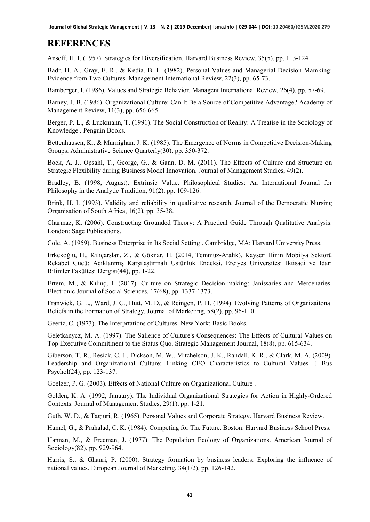# **REFERENCES**

Ansoff, H. I. (1957). Strategies for Diversification. Harvard Business Review, 35(5), pp. 113-124.

Badr, H. A., Gray, E. R., & Kedia, B. L. (1982). Personal Values and Managerial Decision Mamking: Evidence from Two Cultures. Management International Review, 22(3), pp. 65-73.

Bamberger, I. (1986). Values and Strategic Behavior. Managent International Review, 26(4), pp. 57-69.

Barney, J. B. (1986). Organizational Culture: Can It Be a Source of Competitive Advantage? Academy of Management Review, 11(3), pp. 656-665.

Berger, P. L., & Luckmann, T. (1991). The Social Construction of Reality: A Treatise in the Sociology of Knowledge . Penguin Books.

Bettenhausen, K., & Murnighan, J. K. (1985). The Emergence of Norms in Competitive Decision-Making Groups. Administrative Science Quarterly(30), pp. 350-372.

Bock, A. J., Opsahl, T., George, G., & Gann, D. M. (2011). The Effects of Culture and Structure on Strategic Flexibility during Business Model Innovation. Journal of Management Studies, 49(2).

Bradley, B. (1998, August). Extrinsic Value. Philosophical Studies: An International Journal for Philosophy in the Analytic Tradition, 91(2), pp. 109-126.

Brink, H. I. (1993). Validity and reliability in qualitative research. Journal of the Democratic Nursing Organisation of South Africa, 16(2), pp. 35-38.

Charmaz, K. (2006). Constructing Grounded Theory: A Practical Guide Through Qualitative Analysis. London: Sage Publications.

Cole, A. (1959). Business Enterprise in Its Social Setting . Cambridge, MA: Harvard University Press.

Erkekoğlu, H., Kılıçarslan, Z., & Göknar, H. (2014, Temmuz-Aralık). Kayseri İlinin Mobilya Sektörü Rekabet Gücü: Açıklanmış Karşılaştırmalı Üstünlük Endeksi. Erciyes Üniversitesi İktisadi ve İdari Bilimler Fakültesi Dergisi(44), pp. 1-22.

Ertem, M., & Kılınç, İ. (2017). Culture on Strategic Decision-making: Janissaries and Mercenaries. Electronic Journal of Social Sciences, 17(68), pp. 1337-1373.

Franwick, G. L., Ward, J. C., Hutt, M. D., & Reingen, P. H. (1994). Evolving Patterns of Organizaitonal Beliefs in the Formation of Strategy. Journal of Marketing, 58(2), pp. 96-110.

Geertz, C. (1973). The Interprtations of Cultures. New York: Basic Books.

Geletkanycz, M. A. (1997). The Salience of Culture's Consequences: The Effects of Cultural Values on Top Executive Commitment to the Status Quo. Strategic Management Journal, 18(8), pp. 615-634.

Giberson, T. R., Resick, C. J., Dickson, M. W., Mitchelson, J. K., Randall, K. R., & Clark, M. A. (2009). Leadership and Organizational Culture: Linking CEO Characteristics to Cultural Values. J Bus Psychol(24), pp. 123-137.

Goelzer, P. G. (2003). Effects of National Culture on Organizational Culture .

Golden, K. A. (1992, January). The Individual Organizational Strategies for Action in Highly-Ordered Contexts. Journal of Management Studies, 29(1), pp. 1-21.

Guth, W. D., & Tagiuri, R. (1965). Personal Values and Corporate Strategy. Harvard Business Review.

Hamel, G., & Prahalad, C. K. (1984). Competing for The Future. Boston: Harvard Business School Press.

Hannan, M., & Freeman, J. (1977). The Population Ecology of Organizations. American Journal of Sociology(82), pp. 929-964.

Harris, S., & Ghauri, P. (2000). Strategy formation by business leaders: Exploring the influence of national values. European Journal of Marketing, 34(1/2), pp. 126-142.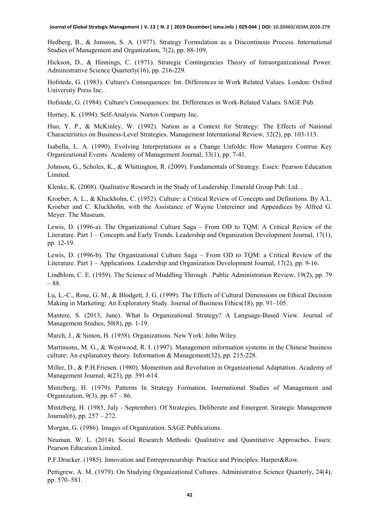**Journal of Global Strategic Management | V. 13 | N. 2 | 2019-December| isma.info | 029-044 | DOI: 10.20460/JGSM.2020.279**

Hedberg, B., & Jonsson, S. A. (1977). Strategy Formulation as a Discontinous Process. International Studies of Management and Organization, 7(2), pp. 88-109.

Hickson, D., & Hinnings, C. (1971). Strategic Contingencies Theory of Intraorganizational Power. Administrative Science Quarterly(16), pp. 216-229.

Hofstede, G. (1983). Culture's Consequences: Int. Differences in Work Related Values. London: Oxford University Press Inc. .

Hofstede, G. (1984). Culture's Consequences: Int. Differences in Work-Related Values. SAGE Pub.

Horney, K. (1994). Self-Analysis. Norton Company Inc.

Huo, Y. P., & McKinley, W. (1992). Nation as a Context for Strategy: The Effects of National Characteristics on Business-Level Strategies. Management International Review, 32(2), pp. 103-113.

Isabella, L. A. (1990). Evolving Interpretations as a Change Unfolds: How Managers Contrue Key Organizational Events. Academy of Management Journal, 33(1), pp. 7-41.

Johnson, G., Scholes, K., & Whittington, R. (2009). Fundamentals of Strategy. Essex: Pearson Education Limited.

Klenke, K. (2008). Qualitative Research in the Study of Leadership. Emerald Group Pub. Ltd. .

Kroeber, A. L., & Kluckhohn, C. (1952). Culture: a Critical Review of Concepts and Definitions. By A.L. Kroeber and C. Kluckhohn, with the Assistance of Wayne Untereiner and Appendices by Alfred G. Meyer. The Museum.

Lewis, D. (1996-a). The Organizational Culture Saga – From OD to TQM: A Critical Review of the Literature. Part 1 – Concepts and Early Trends. Leadership and Organization Development Journal, 17(1), pp. 12-19.

Lewis, D. (1996-b). The Organizational Culture Saga – From OD to TQM: a Critical Review of the Literature. Part 1 – Applications. Leadership and Organization Development Journal, 17(2), pp. 9-16.

Lindblom, C. E. (1959). The Science of Muddling Through . Public Administration Review, 19(2), pp. 79 – 88.

Lu, L.-C., Rose, G. M., & Blodgett, J. G. (1999). The Effects of Cultural Dimensions on Ethical Decision Making in Marketing: An Exploratory Study. Journal of Business Ethics(18), pp. 91–105.

Mantere, S. (2013, June). What Is Organizational Strategy? A Language-Based View. Journal of Management Studies, 50(8), pp. 1-19.

March, J., & Simon, H. (1958). Organizations. New York: John Wiley.

Martinsons, M. G., & Westwood, R. I. (1997). Management information systems in the Chinese business culture: An explanatory theory. Information & Management(32), pp. 215-228.

Miller, D., & P.H.Friesen. (1980). Momentum and Revolution in Organizational Adaptation. Academy of Management Journal, 4(23), pp. 591-614.

Mintzberg, H. (1979). Patterns In Strategy Formation. International Studies of Management and Organization,  $9(3)$ , pp.  $67 - 86$ .

Mintzberg, H. (1985, July - September). Of Strategies, Deliberate and Emergent. Strategic Management Journal $(6)$ , pp.  $257 - 272$ .

Morgan, G. (1986). Images of Organization. SAGE Publications.

Neuman, W. L. (2014). Social Research Methods: Qualitative and Quantitative Approaches. Essex: Pearson Education Limited.

P.F.Drucker. (1985). Innovation and Entrepreneurship: Practice and Principles. Harper&Row.

Pettigrew, A. M. (1979). On Studying Organizational Cultures. Administrative Science Quarterly, 24(4), pp. 570–581.